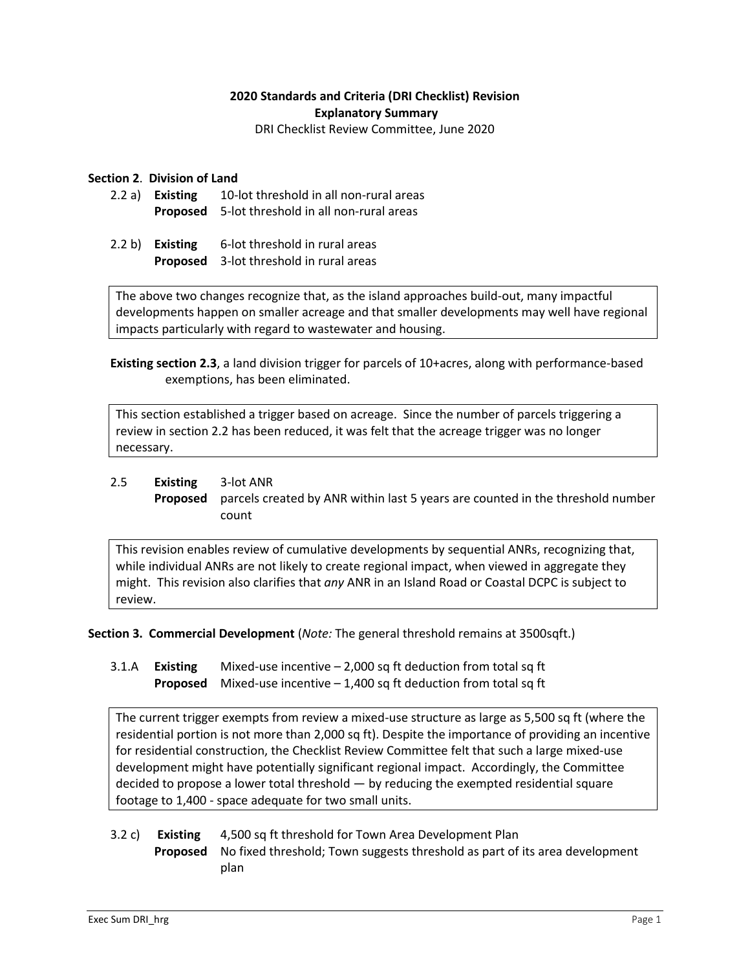# **2020 Standards and Criteria (DRI Checklist) Revision Explanatory Summary**

DRI Checklist Review Committee, June 2020

### **Section 2**. **Division of Land**

- 2.2 a) **Existing** 10-lot threshold in all non-rural areas **Proposed** 5-lot threshold in all non-rural areas
- 2.2 b) **Existing** 6-lot threshold in rural areas **Proposed** 3-lot threshold in rural areas

The above two changes recognize that, as the island approaches build-out, many impactful developments happen on smaller acreage and that smaller developments may well have regional impacts particularly with regard to wastewater and housing.

**Existing section 2.3**, a land division trigger for parcels of 10+acres, along with performance-based exemptions, has been eliminated.

This section established a trigger based on acreage. Since the number of parcels triggering a review in section 2.2 has been reduced, it was felt that the acreage trigger was no longer necessary.

# 2.5 **Existing** 3-lot ANR **Proposed** parcels created by ANR within last 5 years are counted in the threshold number count

This revision enables review of cumulative developments by sequential ANRs, recognizing that, while individual ANRs are not likely to create regional impact, when viewed in aggregate they might. This revision also clarifies that *any* ANR in an Island Road or Coastal DCPC is subject to review.

**Section 3. Commercial Development** (*Note:* The general threshold remains at 3500sqft.)

3.1.A **Existing** Mixed-use incentive *–* 2,000 sq ft deduction from total sq ft **Proposed** Mixed-use incentive – 1,400 sq ft deduction from total sq ft

The current trigger exempts from review a mixed-use structure as large as 5,500 sq ft (where the residential portion is not more than 2,000 sq ft). Despite the importance of providing an incentive for residential construction, the Checklist Review Committee felt that such a large mixed-use development might have potentially significant regional impact. Accordingly, the Committee decided to propose a lower total threshold — by reducing the exempted residential square footage to 1,400 - space adequate for two small units.

# 3.2 c) **Existing** 4,500 sq ft threshold for Town Area Development Plan **Proposed** No fixed threshold; Town suggests threshold as part of its area development plan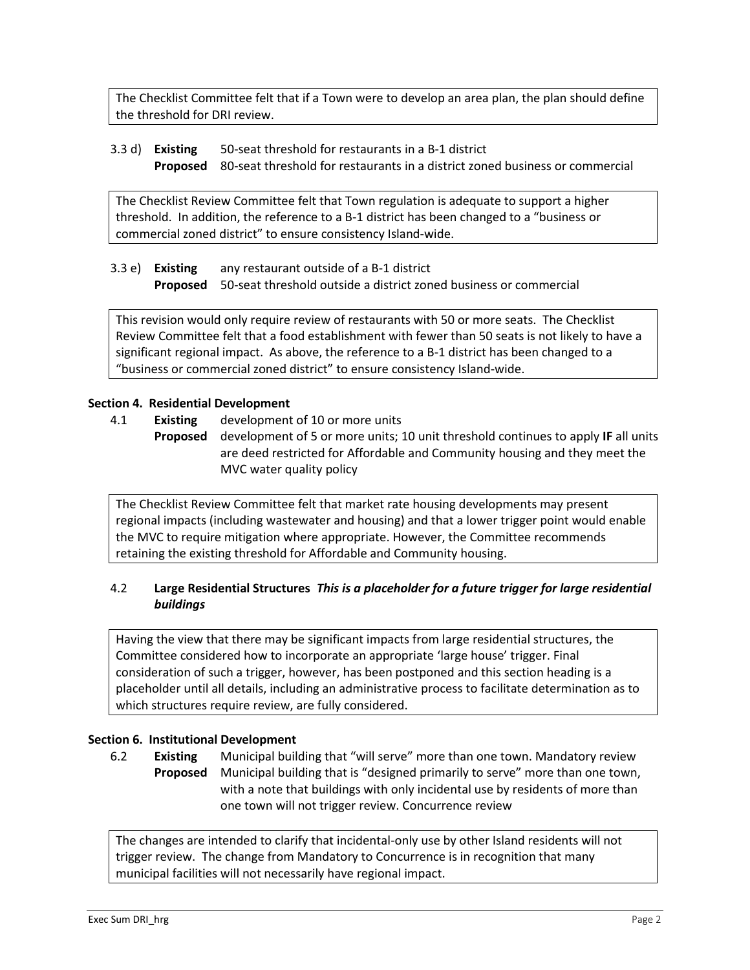The Checklist Committee felt that if a Town were to develop an area plan, the plan should define the threshold for DRI review.

#### 3.3 d) **Existing** 50-seat threshold for restaurants in a B-1 district **Proposed** 80-seat threshold for restaurants in a district zoned business or commercial

The Checklist Review Committee felt that Town regulation is adequate to support a higher threshold. In addition, the reference to a B-1 district has been changed to a "business or commercial zoned district" to ensure consistency Island-wide.

# 3.3 e) **Existing** any restaurant outside of a B-1 district **Proposed** 50-seat threshold outside a district zoned business or commercial

This revision would only require review of restaurants with 50 or more seats. The Checklist Review Committee felt that a food establishment with fewer than 50 seats is not likely to have a significant regional impact. As above, the reference to a B-1 district has been changed to a "business or commercial zoned district" to ensure consistency Island-wide.

# **Section 4. Residential Development**

- 4.1 **Existing** development of 10 or more units
	- **Proposed** development of 5 or more units; 10 unit threshold continues to apply **IF** all units are deed restricted for Affordable and Community housing and they meet the MVC water quality policy

The Checklist Review Committee felt that market rate housing developments may present regional impacts (including wastewater and housing) and that a lower trigger point would enable the MVC to require mitigation where appropriate. However, the Committee recommends retaining the existing threshold for Affordable and Community housing.

# 4.2 **Large Residential Structures** *This is a placeholder for a future trigger for large residential buildings*

Having the view that there may be significant impacts from large residential structures, the Committee considered how to incorporate an appropriate 'large house' trigger. Final consideration of such a trigger, however, has been postponed and this section heading is a placeholder until all details, including an administrative process to facilitate determination as to which structures require review, are fully considered.

#### **Section 6. Institutional Development**

6.2 **Existing** Municipal building that "will serve" more than one town. Mandatory review **Proposed** Municipal building that is "designed primarily to serve" more than one town, with a note that buildings with only incidental use by residents of more than one town will not trigger review. Concurrence review

The changes are intended to clarify that incidental-only use by other Island residents will not trigger review. The change from Mandatory to Concurrence is in recognition that many municipal facilities will not necessarily have regional impact.